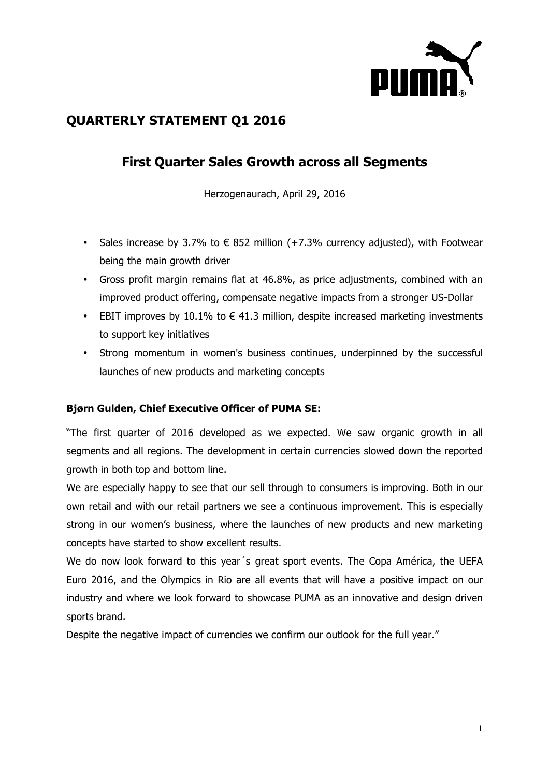

# **QUARTERLY STATEMENT Q1 2016**

# **First Quarter Sales Growth across all Segments**

Herzogenaurach, April 29, 2016

- Sales increase by 3.7% to  $\epsilon$  852 million (+7.3% currency adjusted), with Footwear being the main growth driver
- Gross profit margin remains flat at 46.8%, as price adjustments, combined with an improved product offering, compensate negative impacts from a stronger US-Dollar
- EBIT improves by 10.1% to  $\epsilon$  41.3 million, despite increased marketing investments to support key initiatives
- Strong momentum in women's business continues, underpinned by the successful launches of new products and marketing concepts

## **Bjørn Gulden, Chief Executive Officer of PUMA SE:**

"The first quarter of 2016 developed as we expected. We saw organic growth in all segments and all regions. The development in certain currencies slowed down the reported growth in both top and bottom line.

We are especially happy to see that our sell through to consumers is improving. Both in our own retail and with our retail partners we see a continuous improvement. This is especially strong in our women's business, where the launches of new products and new marketing concepts have started to show excellent results.

We do now look forward to this year´s great sport events. The Copa América, the UEFA Euro 2016, and the Olympics in Rio are all events that will have a positive impact on our industry and where we look forward to showcase PUMA as an innovative and design driven sports brand.

Despite the negative impact of currencies we confirm our outlook for the full year."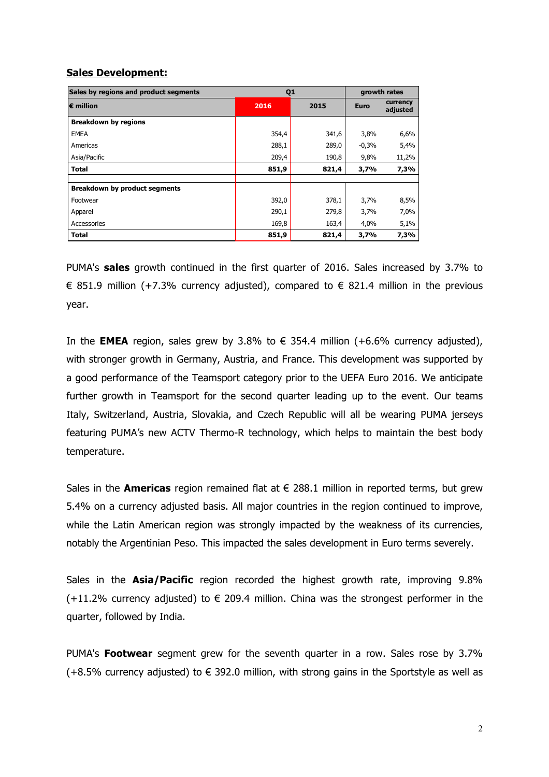## **Sales Development:**

| Sales by regions and product segments | Q <sub>1</sub> |       | growth rates |                      |
|---------------------------------------|----------------|-------|--------------|----------------------|
| $\epsilon$ million                    | 2016           | 2015  | <b>Euro</b>  | currency<br>adjusted |
| <b>Breakdown by regions</b>           |                |       |              |                      |
| <b>EMEA</b>                           | 354,4          | 341,6 | 3,8%         | 6,6%                 |
| Americas                              | 288,1          | 289,0 | $-0,3%$      | 5,4%                 |
| Asia/Pacific                          | 209,4          | 190,8 | 9,8%         | 11,2%                |
| <b>Total</b>                          | 851,9          | 821,4 | 3,7%         | 7,3%                 |
|                                       |                |       |              |                      |
| <b>Breakdown by product segments</b>  |                |       |              |                      |
| Footwear                              | 392,0          | 378,1 | 3,7%         | 8,5%                 |
| Apparel                               | 290,1          | 279,8 | 3,7%         | 7,0%                 |
| Accessories                           | 169,8          | 163,4 | 4,0%         | 5,1%                 |
| <b>Total</b>                          | 851,9          | 821,4 | 3,7%         | 7,3%                 |

PUMA's **sales** growth continued in the first quarter of 2016. Sales increased by 3.7% to € 851.9 million (+7.3% currency adjusted), compared to  $∈$  821.4 million in the previous year.

In the **EMEA** region, sales grew by 3.8% to  $\epsilon$  354.4 million (+6.6% currency adjusted), with stronger growth in Germany, Austria, and France. This development was supported by a good performance of the Teamsport category prior to the UEFA Euro 2016. We anticipate further growth in Teamsport for the second quarter leading up to the event. Our teams Italy, Switzerland, Austria, Slovakia, and Czech Republic will all be wearing PUMA jerseys featuring PUMA's new ACTV Thermo-R technology, which helps to maintain the best body temperature.

Sales in the **Americas** region remained flat at  $\epsilon$  288.1 million in reported terms, but grew 5.4% on a currency adjusted basis. All major countries in the region continued to improve, while the Latin American region was strongly impacted by the weakness of its currencies, notably the Argentinian Peso. This impacted the sales development in Euro terms severely.

Sales in the **Asia/Pacific** region recorded the highest growth rate, improving 9.8% (+11.2% currency adjusted) to  $\epsilon$  209.4 million. China was the strongest performer in the quarter, followed by India.

PUMA's **Footwear** segment grew for the seventh quarter in a row. Sales rose by 3.7%  $(+8.5\%$  currency adjusted) to  $\epsilon$  392.0 million, with strong gains in the Sportstyle as well as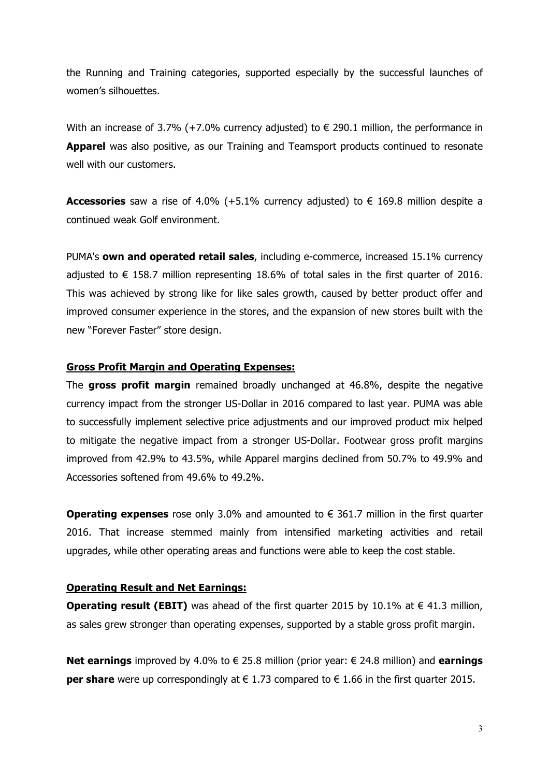the Running and Training categories, supported especially by the successful launches of women's silhouettes.

With an increase of 3.7% (+7.0% currency adjusted) to  $\epsilon$  290.1 million, the performance in **Apparel** was also positive, as our Training and Teamsport products continued to resonate well with our customers.

**Accessories** saw a rise of 4.0% (+5.1% currency adjusted) to € 169.8 million despite a continued weak Golf environment.

PUMA's **own and operated retail sales**, including e-commerce, increased 15.1% currency adjusted to  $\epsilon$  158.7 million representing 18.6% of total sales in the first quarter of 2016. This was achieved by strong like for like sales growth, caused by better product offer and improved consumer experience in the stores, and the expansion of new stores built with the new "Forever Faster" store design.

### **Gross Profit Margin and Operating Expenses:**

The **gross profit margin** remained broadly unchanged at 46.8%, despite the negative currency impact from the stronger US-Dollar in 2016 compared to last year. PUMA was able to successfully implement selective price adjustments and our improved product mix helped to mitigate the negative impact from a stronger US-Dollar. Footwear gross profit margins improved from 42.9% to 43.5%, while Apparel margins declined from 50.7% to 49.9% and Accessories softened from 49.6% to 49.2%.

**Operating expenses** rose only 3.0% and amounted to € 361.7 million in the first quarter 2016. That increase stemmed mainly from intensified marketing activities and retail upgrades, while other operating areas and functions were able to keep the cost stable.

### **Operating Result and Net Earnings:**

**Operating result (EBIT)** was ahead of the first quarter 2015 by 10.1% at  $\in$  41.3 million, as sales grew stronger than operating expenses, supported by a stable gross profit margin.

**Net earnings** improved by 4.0% to € 25.8 million (prior year: € 24.8 million) and **earnings per share** were up correspondingly at € 1.73 compared to € 1.66 in the first quarter 2015.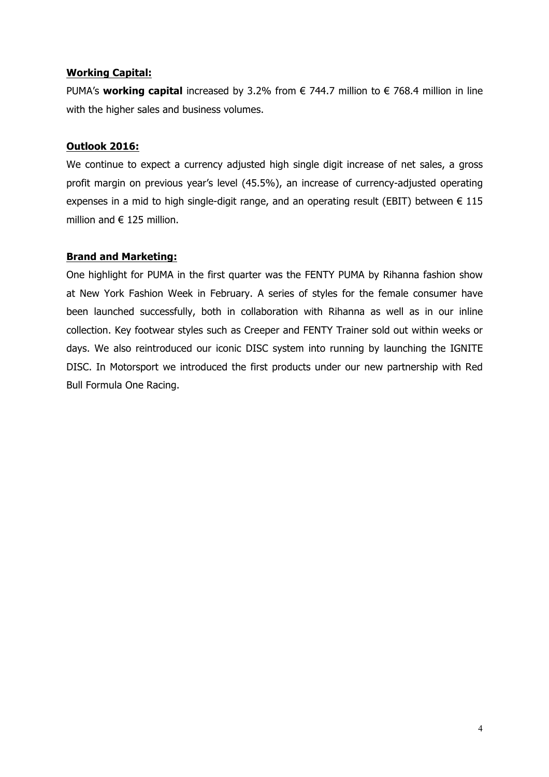### **Working Capital:**

PUMA's **working capital** increased by 3.2% from € 744.7 million to € 768.4 million in line with the higher sales and business volumes.

### **Outlook 2016:**

We continue to expect a currency adjusted high single digit increase of net sales, a gross profit margin on previous year's level (45.5%), an increase of currency-adjusted operating expenses in a mid to high single-digit range, and an operating result (EBIT) between  $\epsilon$  115 million and  $\in$  125 million.

## **Brand and Marketing:**

One highlight for PUMA in the first quarter was the FENTY PUMA by Rihanna fashion show at New York Fashion Week in February. A series of styles for the female consumer have been launched successfully, both in collaboration with Rihanna as well as in our inline collection. Key footwear styles such as Creeper and FENTY Trainer sold out within weeks or days. We also reintroduced our iconic DISC system into running by launching the IGNITE DISC. In Motorsport we introduced the first products under our new partnership with Red Bull Formula One Racing.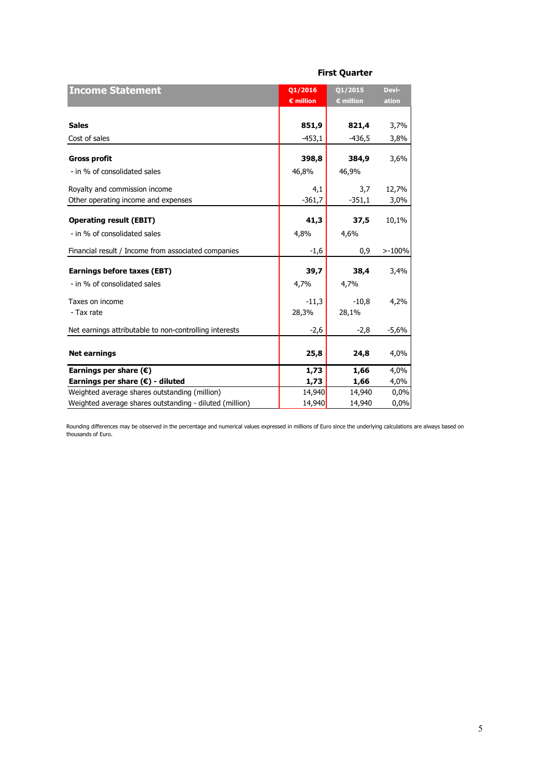| <b>Income Statement</b>                                 | Q1/2016            | 01/2015   | Devi-     |
|---------------------------------------------------------|--------------------|-----------|-----------|
|                                                         | $\epsilon$ million | € million | ation     |
|                                                         |                    |           |           |
| <b>Sales</b>                                            | 851,9              | 821,4     | 3,7%      |
| Cost of sales                                           | $-453,1$           | -436,5    | 3,8%      |
|                                                         |                    |           |           |
| <b>Gross profit</b>                                     | 398,8              | 384,9     | 3,6%      |
| - in % of consolidated sales                            | 46,8%              | 46,9%     |           |
| Royalty and commission income                           | 4,1                | 3,7       | 12,7%     |
| Other operating income and expenses                     | $-361,7$           | $-351,1$  | 3,0%      |
|                                                         |                    |           |           |
| <b>Operating result (EBIT)</b>                          | 41,3               | 37,5      | 10,1%     |
| - in % of consolidated sales                            | 4,8%               | 4,6%      |           |
| Financial result / Income from associated companies     | $-1,6$             | 0,9       | $> -100%$ |
| <b>Earnings before taxes (EBT)</b>                      | 39,7               | 38,4      | 3,4%      |
| - in % of consolidated sales                            | 4,7%               | 4,7%      |           |
|                                                         |                    |           |           |
| Taxes on income                                         | $-11,3$            | $-10.8$   | 4,2%      |
| - Tax rate                                              | 28,3%              | 28,1%     |           |
| Net earnings attributable to non-controlling interests  | -2,6               | $-2,8$    | $-5,6%$   |
|                                                         |                    |           |           |
| <b>Net earnings</b>                                     | 25,8               | 24,8      | 4,0%      |
| Earnings per share $(\epsilon)$                         | 1,73               | 1,66      | 4,0%      |
| Earnings per share $(\epsilon)$ - diluted               | 1,73               | 1,66      | 4,0%      |
| Weighted average shares outstanding (million)           | 14,940             | 14,940    | 0,0%      |
| Weighted average shares outstanding - diluted (million) | 14,940             | 14,940    | 0,0%      |

**First Quarter**

Rounding differences may be observed in the percentage and numerical values expressed in millions of Euro since the underlying calculations are always based on thousands of Euro.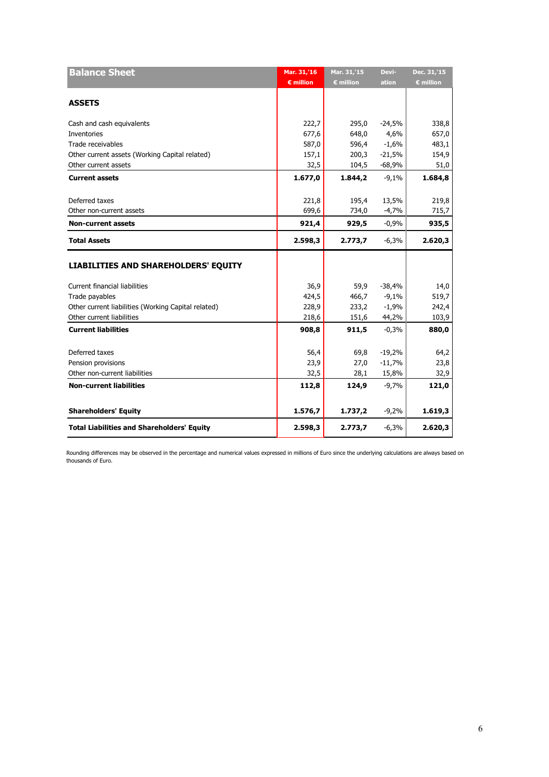| <b>Balance Sheet</b>                                | Mar. 31,'16        | Mar. 31,'15        | Devi-    | Dec. 31,'15        |
|-----------------------------------------------------|--------------------|--------------------|----------|--------------------|
|                                                     | $\epsilon$ million | $\epsilon$ million | ation    | $\epsilon$ million |
| <b>ASSETS</b>                                       |                    |                    |          |                    |
|                                                     |                    |                    |          |                    |
| Cash and cash equivalents                           | 222,7              | 295,0              | $-24,5%$ | 338,8              |
| Inventories                                         | 677,6              | 648,0              | 4,6%     | 657,0              |
| Trade receivables                                   | 587,0              | 596,4              | $-1,6%$  | 483,1              |
| Other current assets (Working Capital related)      | 157,1              | 200,3              | $-21,5%$ | 154,9              |
| Other current assets                                | 32,5               | 104,5              | $-68,9%$ | 51,0               |
| <b>Current assets</b>                               | 1.677,0            | 1.844,2            | $-9,1%$  | 1.684,8            |
| Deferred taxes                                      | 221,8              | 195,4              | 13,5%    | 219,8              |
| Other non-current assets                            | 699,6              | 734,0              | $-4,7%$  | 715,7              |
| <b>Non-current assets</b>                           | 921,4              | 929,5              | $-0,9%$  | 935,5              |
| <b>Total Assets</b>                                 | 2.598,3            | 2.773,7            | $-6,3%$  | 2.620,3            |
| <b>LIABILITIES AND SHAREHOLDERS' EQUITY</b>         |                    |                    |          |                    |
| <b>Current financial liabilities</b>                | 36,9               | 59,9               | $-38,4%$ | 14,0               |
| Trade payables                                      | 424,5              | 466,7              | $-9,1%$  | 519,7              |
| Other current liabilities (Working Capital related) | 228,9              | 233,2              | $-1,9%$  | 242,4              |
| Other current liabilities                           | 218,6              | 151,6              | 44,2%    | 103,9              |
| <b>Current liabilities</b>                          | 908,8              | 911,5              | $-0,3%$  | 880,0              |
| Deferred taxes                                      | 56,4               | 69,8               | $-19,2%$ | 64,2               |
| Pension provisions                                  | 23,9               | 27,0               | $-11,7%$ | 23,8               |
| Other non-current liabilities                       | 32,5               | 28,1               | 15,8%    | 32,9               |
| <b>Non-current liabilities</b>                      | 112,8              | 124,9              | $-9,7%$  | 121,0              |
| <b>Shareholders' Equity</b>                         | 1.576,7            | 1.737,2            | $-9,2%$  | 1.619,3            |
| <b>Total Liabilities and Shareholders' Equity</b>   | 2.598,3            | 2.773,7            | $-6,3%$  | 2.620,3            |
|                                                     |                    |                    |          |                    |

Rounding differences may be observed in the percentage and numerical values expressed in millions of Euro since the underlying calculations are always based on thousands of Euro.